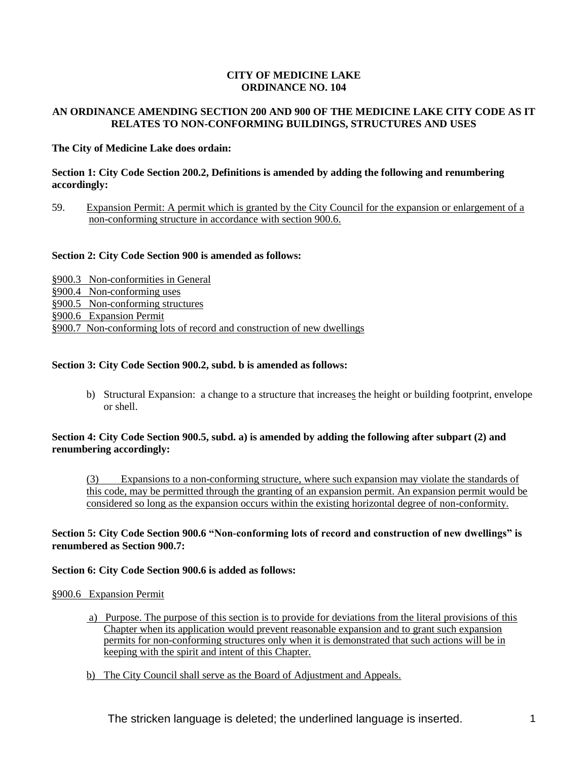#### **CITY OF MEDICINE LAKE ORDINANCE NO. 104**

# **AN ORDINANCE AMENDING SECTION 200 AND 900 OF THE MEDICINE LAKE CITY CODE AS IT RELATES TO NON-CONFORMING BUILDINGS, STRUCTURES AND USES**

# **The City of Medicine Lake does ordain:**

#### **Section 1: City Code Section 200.2, Definitions is amended by adding the following and renumbering accordingly:**

59. Expansion Permit: A permit which is granted by the City Council for the expansion or enlargement of a non-conforming structure in accordance with section 900.6.

#### **Section 2: City Code Section 900 is amended as follows:**

§900.3 Non-conformities in General §900.4 Non-conforming uses §900.5 Non-conforming structures §900.6 Expansion Permit §900.7 Non-conforming lots of record and construction of new dwellings

# **Section 3: City Code Section 900.2, subd. b is amended as follows:**

b) Structural Expansion: a change to a structure that increases the height or building footprint, envelope or shell.

#### **Section 4: City Code Section 900.5, subd. a) is amended by adding the following after subpart (2) and renumbering accordingly:**

(3) Expansions to a non-conforming structure, where such expansion may violate the standards of this code, may be permitted through the granting of an expansion permit. An expansion permit would be considered so long as the expansion occurs within the existing horizontal degree of non-conformity.

# **Section 5: City Code Section 900.6 "Non-conforming lots of record and construction of new dwellings" is renumbered as Section 900.7:**

#### **Section 6: City Code Section 900.6 is added as follows:**

#### §900.6 Expansion Permit

- a) Purpose. The purpose of this section is to provide for deviations from the literal provisions of this Chapter when its application would prevent reasonable expansion and to grant such expansion permits for non-conforming structures only when it is demonstrated that such actions will be in keeping with the spirit and intent of this Chapter.
- b) The City Council shall serve as the Board of Adjustment and Appeals.

The stricken language is deleted; the underlined language is inserted.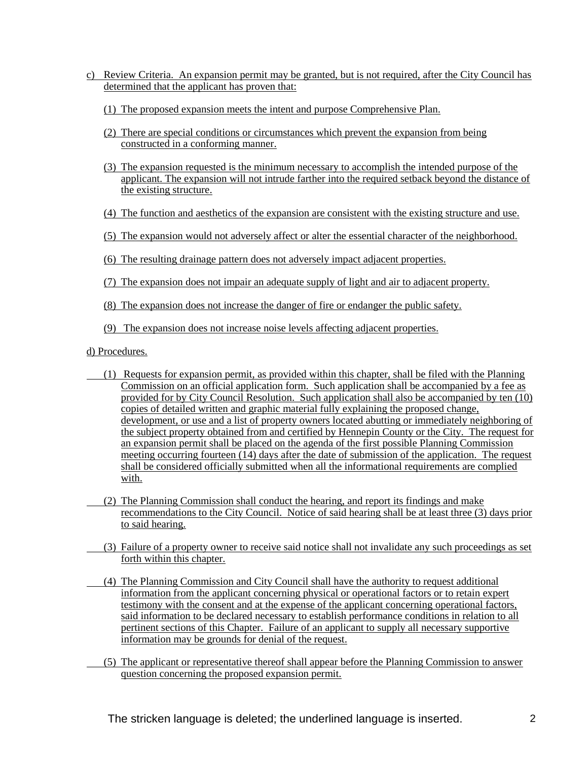- c) Review Criteria. An expansion permit may be granted, but is not required, after the City Council has determined that the applicant has proven that:
	- (1) The proposed expansion meets the intent and purpose Comprehensive Plan.
	- (2) There are special conditions or circumstances which prevent the expansion from being constructed in a conforming manner.
	- (3) The expansion requested is the minimum necessary to accomplish the intended purpose of the applicant. The expansion will not intrude farther into the required setback beyond the distance of the existing structure.
	- (4) The function and aesthetics of the expansion are consistent with the existing structure and use.
	- (5) The expansion would not adversely affect or alter the essential character of the neighborhood.
	- (6) The resulting drainage pattern does not adversely impact adjacent properties.
	- (7) The expansion does not impair an adequate supply of light and air to adjacent property.
	- (8) The expansion does not increase the danger of fire or endanger the public safety.
	- (9) The expansion does not increase noise levels affecting adjacent properties.

d) Procedures.

- (1) Requests for expansion permit, as provided within this chapter, shall be filed with the Planning Commission on an official application form. Such application shall be accompanied by a fee as provided for by City Council Resolution. Such application shall also be accompanied by ten (10) copies of detailed written and graphic material fully explaining the proposed change, development, or use and a list of property owners located abutting or immediately neighboring of the subject property obtained from and certified by Hennepin County or the City. The request for an expansion permit shall be placed on the agenda of the first possible Planning Commission meeting occurring fourteen  $(14)$  days after the date of submission of the application. The request shall be considered officially submitted when all the informational requirements are complied with.
- (2) The Planning Commission shall conduct the hearing, and report its findings and make recommendations to the City Council. Notice of said hearing shall be at least three (3) days prior to said hearing.
- (3) Failure of a property owner to receive said notice shall not invalidate any such proceedings as set forth within this chapter.
	- (4) The Planning Commission and City Council shall have the authority to request additional information from the applicant concerning physical or operational factors or to retain expert testimony with the consent and at the expense of the applicant concerning operational factors, said information to be declared necessary to establish performance conditions in relation to all pertinent sections of this Chapter. Failure of an applicant to supply all necessary supportive information may be grounds for denial of the request.
- (5) The applicant or representative thereof shall appear before the Planning Commission to answer question concerning the proposed expansion permit.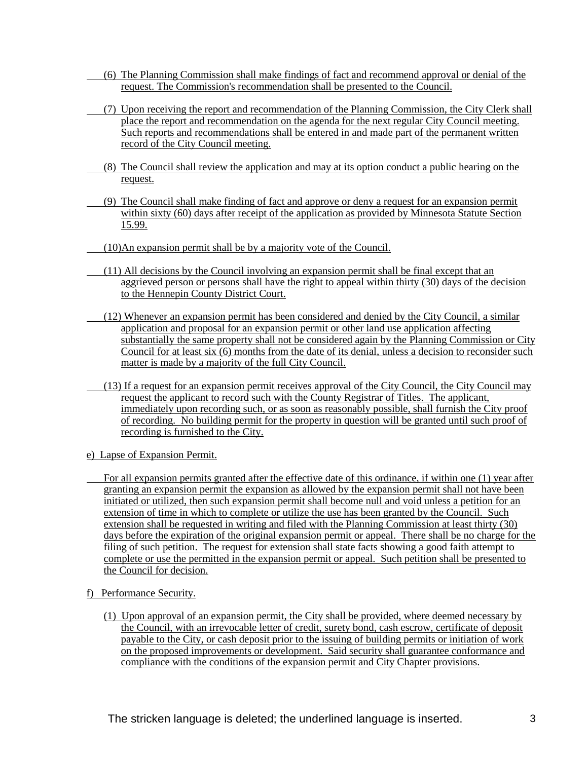- (6) The Planning Commission shall make findings of fact and recommend approval or denial of the request. The Commission's recommendation shall be presented to the Council.
- (7) Upon receiving the report and recommendation of the Planning Commission, the City Clerk shall place the report and recommendation on the agenda for the next regular City Council meeting. Such reports and recommendations shall be entered in and made part of the permanent written record of the City Council meeting.
- (8) The Council shall review the application and may at its option conduct a public hearing on the request.
- (9) The Council shall make finding of fact and approve or deny a request for an expansion permit within sixty (60) days after receipt of the application as provided by Minnesota Statute Section 15.99.
- (10)An expansion permit shall be by a majority vote of the Council.
- (11) All decisions by the Council involving an expansion permit shall be final except that an aggrieved person or persons shall have the right to appeal within thirty (30) days of the decision to the Hennepin County District Court.
- (12) Whenever an expansion permit has been considered and denied by the City Council, a similar application and proposal for an expansion permit or other land use application affecting substantially the same property shall not be considered again by the Planning Commission or City Council for at least six (6) months from the date of its denial, unless a decision to reconsider such matter is made by a majority of the full City Council.
- (13) If a request for an expansion permit receives approval of the City Council, the City Council may request the applicant to record such with the County Registrar of Titles. The applicant, immediately upon recording such, or as soon as reasonably possible, shall furnish the City proof of recording. No building permit for the property in question will be granted until such proof of recording is furnished to the City.
- e) Lapse of Expansion Permit.
- For all expansion permits granted after the effective date of this ordinance, if within one (1) year after granting an expansion permit the expansion as allowed by the expansion permit shall not have been initiated or utilized, then such expansion permit shall become null and void unless a petition for an extension of time in which to complete or utilize the use has been granted by the Council. Such extension shall be requested in writing and filed with the Planning Commission at least thirty (30) days before the expiration of the original expansion permit or appeal. There shall be no charge for the filing of such petition. The request for extension shall state facts showing a good faith attempt to complete or use the permitted in the expansion permit or appeal. Such petition shall be presented to the Council for decision.
- f) Performance Security.
	- (1) Upon approval of an expansion permit, the City shall be provided, where deemed necessary by the Council, with an irrevocable letter of credit, surety bond, cash escrow, certificate of deposit payable to the City, or cash deposit prior to the issuing of building permits or initiation of work on the proposed improvements or development. Said security shall guarantee conformance and compliance with the conditions of the expansion permit and City Chapter provisions.